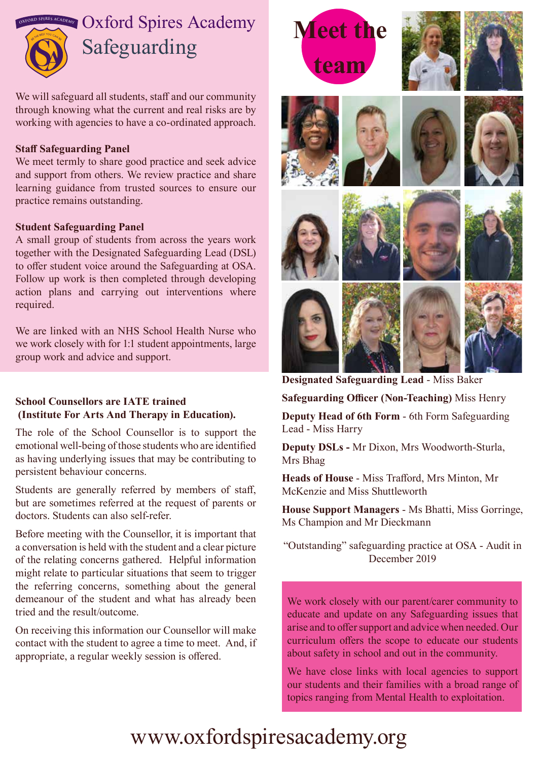

We will safeguard all students, staff and our community through knowing what the current and real risks are by working with agencies to have a co-ordinated approach.

#### **Staff Safeguarding Panel**

We meet termly to share good practice and seek advice and support from others. We review practice and share learning guidance from trusted sources to ensure our practice remains outstanding.

#### **Student Safeguarding Panel**

A small group of students from across the years work together with the Designated Safeguarding Lead (DSL) to offer student voice around the Safeguarding at OSA. Follow up work is then completed through developing action plans and carrying out interventions where required.

We are linked with an NHS School Health Nurse who we work closely with for 1:1 student appointments, large group work and advice and support.

# **School Counsellors are IATE trained (Institute For Arts And Therapy in Education).**

The role of the School Counsellor is to support the emotional well-being of those students who are identified as having underlying issues that may be contributing to persistent behaviour concerns.

Students are generally referred by members of staff, but are sometimes referred at the request of parents or doctors. Students can also self-refer.

Before meeting with the Counsellor, it is important that a conversation is held with the student and a clear picture of the relating concerns gathered. Helpful information might relate to particular situations that seem to trigger the referring concerns, something about the general demeanour of the student and what has already been tried and the result/outcome.

On receiving this information our Counsellor will make contact with the student to agree a time to meet. And, if appropriate, a regular weekly session is offered.





















**Designated Safeguarding Lead** - Miss Baker

**Safeguarding Officer (Non-Teaching)** Miss Henry

**Deputy Head of 6th Form** - 6th Form Safeguarding Lead - Miss Harry

**Deputy DSLs -** Mr Dixon, Mrs Woodworth-Sturla, Mrs Bhag

**Heads of House** - Miss Trafford, Mrs Minton, Mr McKenzie and Miss Shuttleworth

**House Support Managers** - Ms Bhatti, Miss Gorringe, Ms Champion and Mr Dieckmann

"Outstanding" safeguarding practice at OSA - Audit in December 2019

We work closely with our parent/carer community to educate and update on any Safeguarding issues that arise and to offer support and advice when needed. Our curriculum offers the scope to educate our students about safety in school and out in the community.

We have close links with local agencies to support our students and their families with a broad range of topics ranging from Mental Health to exploitation.

# www.oxfordspiresacademy.org